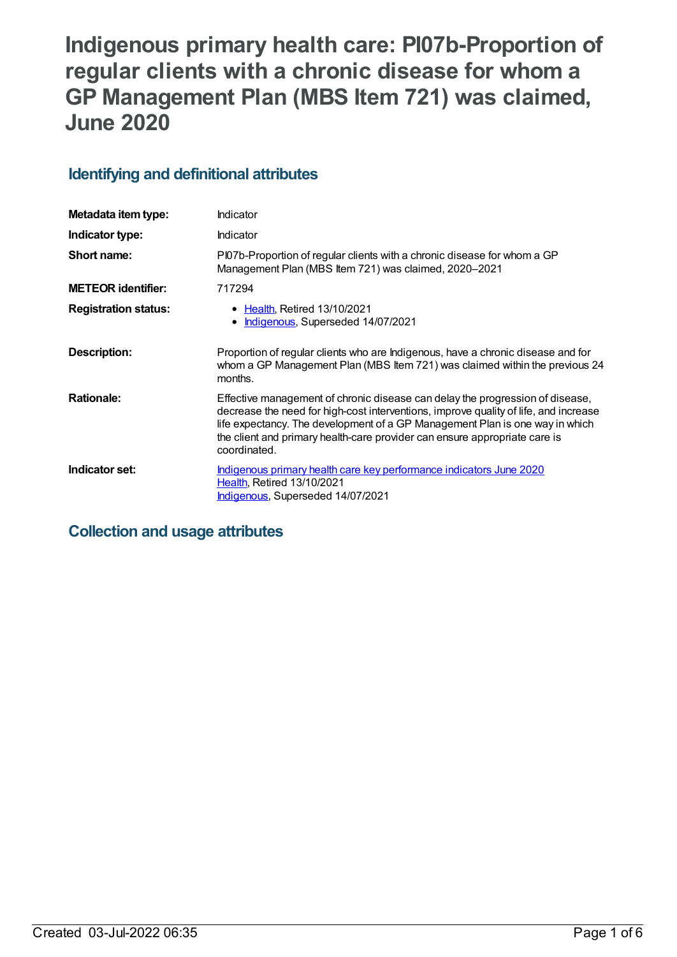# **Indigenous primary health care: PI07b-Proportion of regular clients with a chronic disease for whom a GP Management Plan (MBS Item 721) was claimed, June 2020**

## **Identifying and definitional attributes**

| Metadata item type:         | Indicator                                                                                                                                                                                                                                                                                                                                           |
|-----------------------------|-----------------------------------------------------------------------------------------------------------------------------------------------------------------------------------------------------------------------------------------------------------------------------------------------------------------------------------------------------|
| Indicator type:             | Indicator                                                                                                                                                                                                                                                                                                                                           |
| Short name:                 | PI07b-Proportion of regular clients with a chronic disease for whom a GP<br>Management Plan (MBS Item 721) was claimed, 2020–2021                                                                                                                                                                                                                   |
| <b>METEOR identifier:</b>   | 717294                                                                                                                                                                                                                                                                                                                                              |
| <b>Registration status:</b> | • Health, Retired 13/10/2021<br>Indigenous, Superseded 14/07/2021                                                                                                                                                                                                                                                                                   |
| Description:                | Proportion of regular clients who are Indigenous, have a chronic disease and for<br>whom a GP Management Plan (MBS Item 721) was claimed within the previous 24<br>months.                                                                                                                                                                          |
| <b>Rationale:</b>           | Effective management of chronic disease can delay the progression of disease,<br>decrease the need for high-cost interventions, improve quality of life, and increase<br>life expectancy. The development of a GP Management Plan is one way in which<br>the client and primary health-care provider can ensure appropriate care is<br>coordinated. |
| Indicator set:              | Indigenous primary health care key performance indicators June 2020<br><b>Health, Retired 13/10/2021</b><br>Indigenous, Superseded 14/07/2021                                                                                                                                                                                                       |

## **Collection and usage attributes**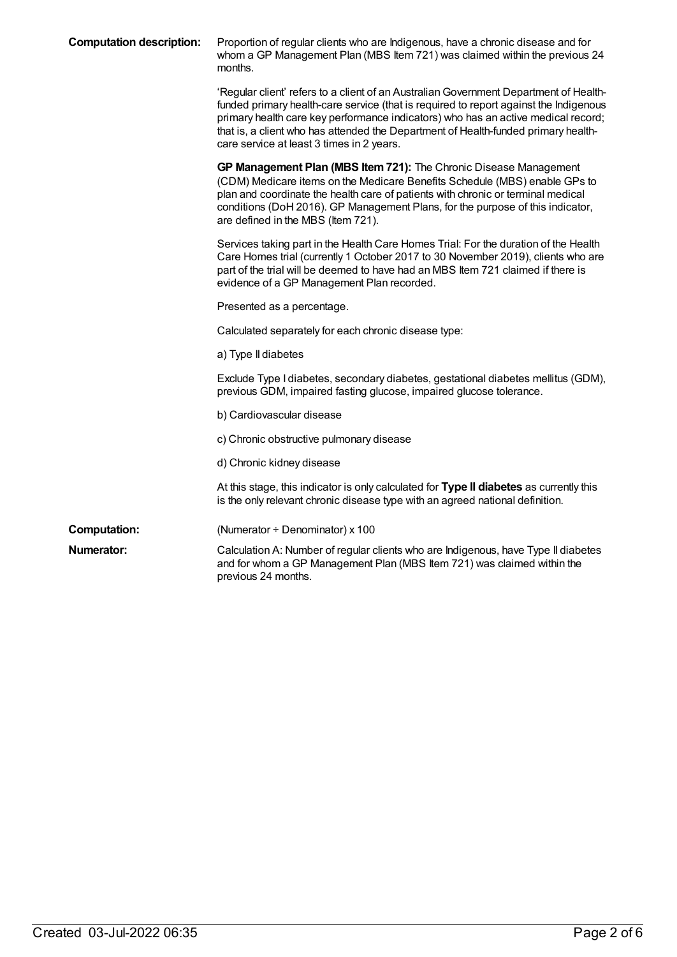| <b>Computation description:</b> | Proportion of regular clients who are Indigenous, have a chronic disease and for<br>whom a GP Management Plan (MBS Item 721) was claimed within the previous 24<br>months.                                                                                                                                                                                                                             |
|---------------------------------|--------------------------------------------------------------------------------------------------------------------------------------------------------------------------------------------------------------------------------------------------------------------------------------------------------------------------------------------------------------------------------------------------------|
|                                 | 'Regular client' refers to a client of an Australian Government Department of Health-<br>funded primary health-care service (that is required to report against the Indigenous<br>primary health care key performance indicators) who has an active medical record;<br>that is, a client who has attended the Department of Health-funded primary health-<br>care service at least 3 times in 2 years. |
|                                 | GP Management Plan (MBS Item 721): The Chronic Disease Management<br>(CDM) Medicare items on the Medicare Benefits Schedule (MBS) enable GPs to<br>plan and coordinate the health care of patients with chronic or terminal medical<br>conditions (DoH 2016). GP Management Plans, for the purpose of this indicator,<br>are defined in the MBS (Item 721).                                            |
|                                 | Services taking part in the Health Care Homes Trial: For the duration of the Health<br>Care Homes trial (currently 1 October 2017 to 30 November 2019), clients who are<br>part of the trial will be deemed to have had an MBS Item 721 claimed if there is<br>evidence of a GP Management Plan recorded.                                                                                              |
|                                 | Presented as a percentage.                                                                                                                                                                                                                                                                                                                                                                             |
|                                 | Calculated separately for each chronic disease type:                                                                                                                                                                                                                                                                                                                                                   |
|                                 | a) Type II diabetes                                                                                                                                                                                                                                                                                                                                                                                    |
|                                 | Exclude Type I diabetes, secondary diabetes, gestational diabetes mellitus (GDM),<br>previous GDM, impaired fasting glucose, impaired glucose tolerance.                                                                                                                                                                                                                                               |
|                                 | b) Cardiovascular disease                                                                                                                                                                                                                                                                                                                                                                              |
|                                 | c) Chronic obstructive pulmonary disease                                                                                                                                                                                                                                                                                                                                                               |
|                                 | d) Chronic kidney disease                                                                                                                                                                                                                                                                                                                                                                              |
|                                 | At this stage, this indicator is only calculated for Type II diabetes as currently this<br>is the only relevant chronic disease type with an agreed national definition.                                                                                                                                                                                                                               |
| <b>Computation:</b>             | (Numerator ÷ Denominator) x 100                                                                                                                                                                                                                                                                                                                                                                        |
| Numerator:                      | Calculation A: Number of regular clients who are Indigenous, have Type II diabetes<br>and for whom a GP Management Plan (MBS Item 721) was claimed within the<br>previous 24 months.                                                                                                                                                                                                                   |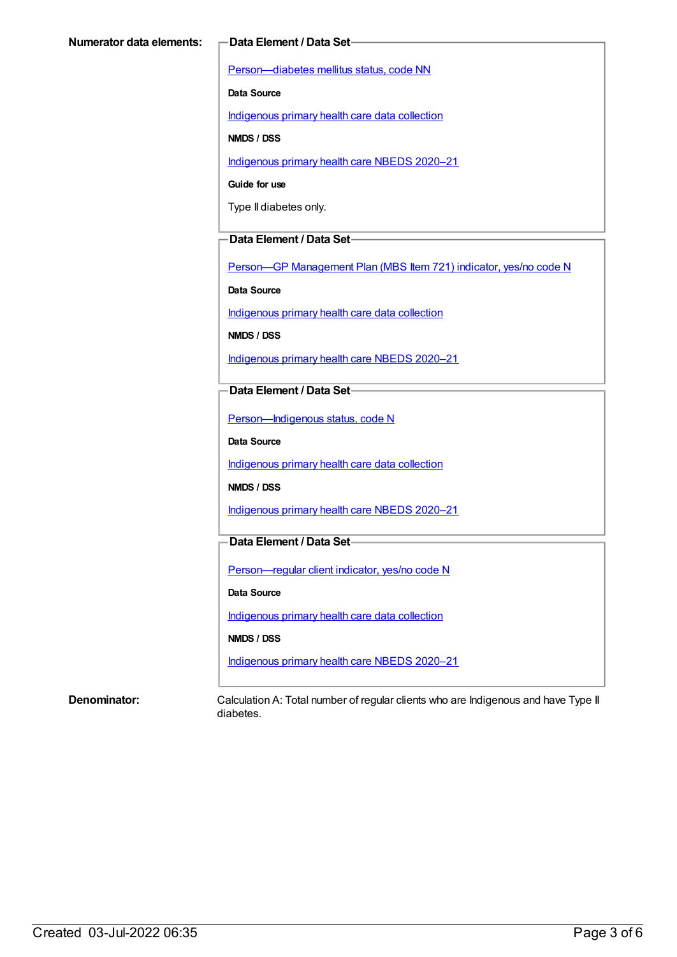[Person—diabetes](https://meteor.aihw.gov.au/content/270194) mellitus status, code NN

**Data Source**

[Indigenous](https://meteor.aihw.gov.au/content/430643) primary health care data collection

**NMDS / DSS**

[Indigenous](https://meteor.aihw.gov.au/content/715320) primary health care NBEDS 2020–21

**Guide for use**

Type II diabetes only.

#### **Data Element / Data Set**

Person-GP [Management](https://meteor.aihw.gov.au/content/504966) Plan (MBS Item 721) indicator, yes/no code N

**Data Source**

[Indigenous](https://meteor.aihw.gov.au/content/430643) primary health care data collection

**NMDS / DSS**

[Indigenous](https://meteor.aihw.gov.au/content/715320) primary health care NBEDS 2020–21

#### **Data Element / Data Set**

[Person—Indigenous](https://meteor.aihw.gov.au/content/602543) status, code N

**Data Source**

[Indigenous](https://meteor.aihw.gov.au/content/430643) primary health care data collection

**NMDS / DSS**

[Indigenous](https://meteor.aihw.gov.au/content/715320) primary health care NBEDS 2020–21

### **Data Element / Data Set**

[Person—regular](https://meteor.aihw.gov.au/content/686291) client indicator, yes/no code N

**Data Source**

[Indigenous](https://meteor.aihw.gov.au/content/430643) primary health care data collection

**NMDS / DSS**

[Indigenous](https://meteor.aihw.gov.au/content/715320) primary health care NBEDS 2020–21

**Denominator:** Calculation A: Total number of regular clients who are Indigenous and have Type II diabetes.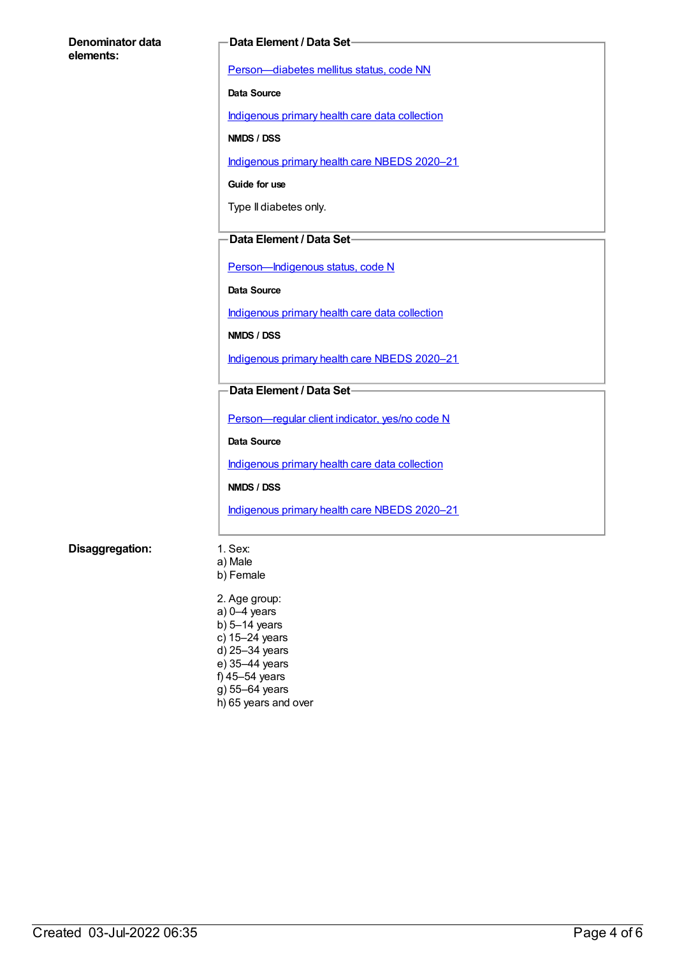#### **Denominator data elements:**

#### **Data Element / Data Set**

[Person—diabetes](https://meteor.aihw.gov.au/content/270194) mellitus status, code NN

**Data Source**

[Indigenous](https://meteor.aihw.gov.au/content/430643) primary health care data collection

**NMDS / DSS**

[Indigenous](https://meteor.aihw.gov.au/content/715320) primary health care NBEDS 2020–21

**Guide for use**

Type II diabetes only.

#### **Data Element / Data Set**

[Person—Indigenous](https://meteor.aihw.gov.au/content/602543) status, code N

**Data Source**

[Indigenous](https://meteor.aihw.gov.au/content/430643) primary health care data collection

**NMDS / DSS**

[Indigenous](https://meteor.aihw.gov.au/content/715320) primary health care NBEDS 2020–21

### **Data Element / Data Set**

[Person—regular](https://meteor.aihw.gov.au/content/686291) client indicator, yes/no code N

**Data Source**

[Indigenous](https://meteor.aihw.gov.au/content/430643) primary health care data collection

**NMDS / DSS**

[Indigenous](https://meteor.aihw.gov.au/content/715320) primary health care NBEDS 2020–21

#### **Disaggregation:** 1. Sex:

- a) Male b) Female
- 2. Age group: a) 0–4 years b) 5–14 years c) 15–24 years d) 25–34 years e) 35–44 years f) 45–54 years g) 55–64 years h) 65 years and over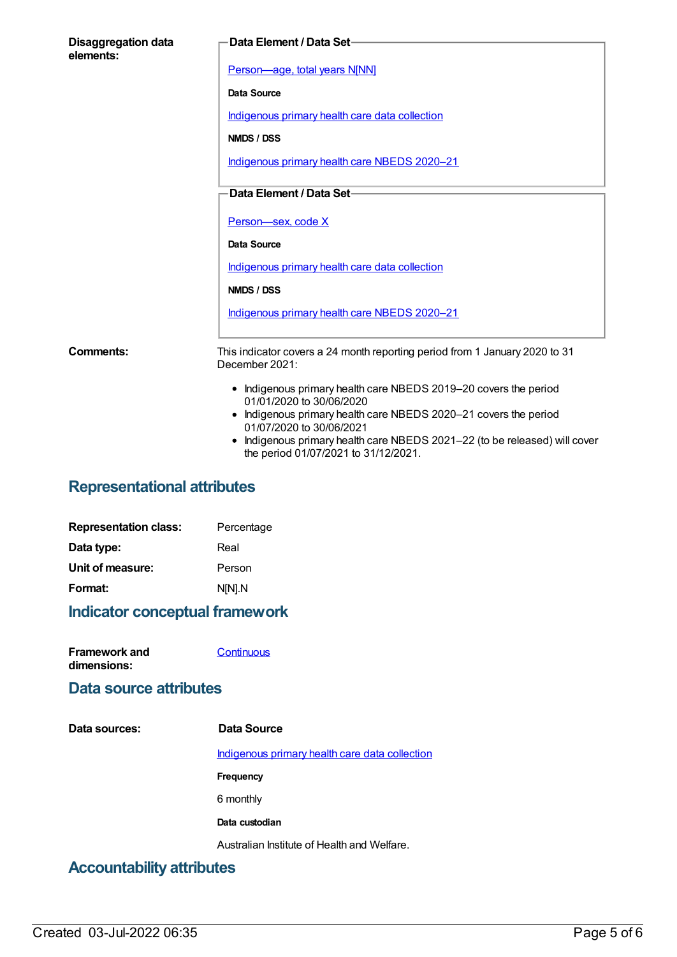| <b>Disaggregation data</b><br>elements: | Data Element / Data Set-                                                                                                                                                                                                                                                                                         |
|-----------------------------------------|------------------------------------------------------------------------------------------------------------------------------------------------------------------------------------------------------------------------------------------------------------------------------------------------------------------|
|                                         | Person-age, total years N[NN]                                                                                                                                                                                                                                                                                    |
|                                         | Data Source                                                                                                                                                                                                                                                                                                      |
|                                         | Indigenous primary health care data collection                                                                                                                                                                                                                                                                   |
|                                         | NMDS / DSS                                                                                                                                                                                                                                                                                                       |
|                                         | Indigenous primary health care NBEDS 2020-21                                                                                                                                                                                                                                                                     |
|                                         | Data Element / Data Set-                                                                                                                                                                                                                                                                                         |
|                                         |                                                                                                                                                                                                                                                                                                                  |
|                                         | Person-sex, code X                                                                                                                                                                                                                                                                                               |
|                                         | <b>Data Source</b>                                                                                                                                                                                                                                                                                               |
|                                         | Indigenous primary health care data collection                                                                                                                                                                                                                                                                   |
|                                         | NMDS / DSS                                                                                                                                                                                                                                                                                                       |
|                                         | Indigenous primary health care NBEDS 2020-21                                                                                                                                                                                                                                                                     |
| Comments:                               | This indicator covers a 24 month reporting period from 1 January 2020 to 31<br>December 2021:                                                                                                                                                                                                                    |
|                                         | • Indigenous primary health care NBEDS 2019-20 covers the period<br>01/01/2020 to 30/06/2020<br>• Indigenous primary health care NBEDS 2020-21 covers the period<br>01/07/2020 to 30/06/2021<br>Indigenous primary health care NBEDS 2021-22 (to be released) will cover<br>the period 01/07/2021 to 31/12/2021. |

# **Representational attributes**

| <b>Representation class:</b> | Percentage |
|------------------------------|------------|
| Data type:                   | Real       |
| Unit of measure:             | Person     |
| Format:                      | N[N].N     |
|                              |            |

# **Indicator conceptual framework**

| <b>Framework and</b> | Continuous |
|----------------------|------------|
| dimensions:          |            |

## **Data source attributes**

| Data sources:                                  | Data Source                                    |
|------------------------------------------------|------------------------------------------------|
|                                                | Indigenous primary health care data collection |
|                                                | <b>Frequency</b>                               |
|                                                | 6 monthly                                      |
|                                                | Data custodian                                 |
|                                                | Australian Institute of Health and Welfare.    |
| A a conservation of the constitution of a con- |                                                |

## **Accountability attributes**